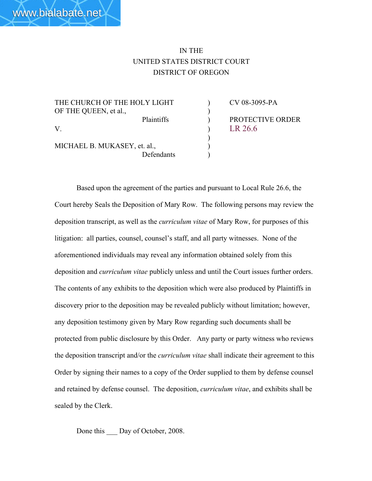## IN THE UNITED STATES DISTRICT COURT DISTRICT OF OREGON

)

THE CHURCH OF THE HOLY LIGHT (CV 08-3095-PA OF THE QUEEN, et al., V. R 26.6

MICHAEL B. MUKASEY, et. al.,  $\qquad \qquad$ ) Defendants )

Plaintiffs ) PROTECTIVE ORDER

Based upon the agreement of the parties and pursuant to Local Rule 26.6, the Court hereby Seals the Deposition of Mary Row. The following persons may review the deposition transcript, as well as the *curriculum vitae* of Mary Row, for purposes of this litigation: all parties, counsel, counsel's staff, and all party witnesses. None of the aforementioned individuals may reveal any information obtained solely from this deposition and *curriculum vitae* publicly unless and until the Court issues further orders. The contents of any exhibits to the deposition which were also produced by Plaintiffs in discovery prior to the deposition may be revealed publicly without limitation; however, any deposition testimony given by Mary Row regarding such documents shall be protected from public disclosure by this Order. Any party or party witness who reviews the deposition transcript and/or the *curriculum vitae* shall indicate their agreement to this Order by signing their names to a copy of the Order supplied to them by defense counsel and retained by defense counsel. The deposition, *curriculum vitae*, and exhibits shall be sealed by the Clerk.

Done this Day of October, 2008.